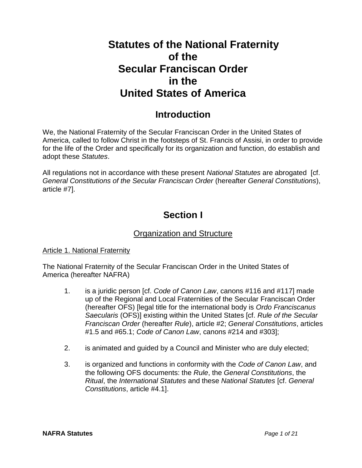# **Statutes of the National Fraternity of the Secular Franciscan Order in the United States of America**

# **Introduction**

We, the National Fraternity of the Secular Franciscan Order in the United States of America, called to follow Christ in the footsteps of St. Francis of Assisi, in order to provide for the life of the Order and specifically for its organization and function, do establish and adopt these *Statutes*.

All regulations not in accordance with these present *National Statutes* are abrogated [cf. *General Constitutions of the Secular Franciscan Order* (hereafter *General Constitutions*), article #7].

# **Section I**

# Organization and Structure

## Article 1. National Fraternity

The National Fraternity of the Secular Franciscan Order in the United States of America (hereafter NAFRA)

- 1. is a juridic person [cf. *Code of Canon Law*, canons #116 and #117] made up of the Regional and Local Fraternities of the Secular Franciscan Order (hereafter OFS) [legal title for the international body is *Ordo Franciscanus Saecularis* (OFS)] existing within the United States [cf. *Rule of the Secular Franciscan Order* (hereafter *Rule*), article #2; *General Constitutions*, articles #1.5 and #65.1; *Code of Canon Law*, canons #214 and #303];
- 2. is animated and guided by a Council and Minister who are duly elected;
- 3. is organized and functions in conformity with the *Code of Canon Law*, and the following OFS documents: the *Rule*, the *General Constitutions*, the *Ritual*, the *International Statutes* and these *National Statutes* [cf. *General Constitutions*, article #4.1].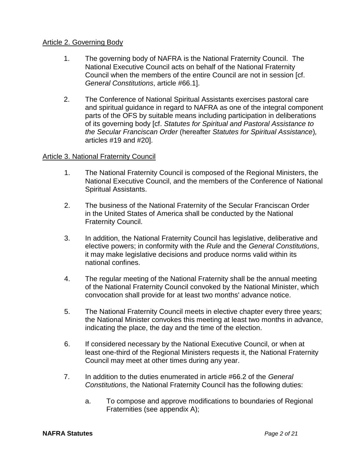### Article 2. Governing Body

- 1. The governing body of NAFRA is the National Fraternity Council. The National Executive Council acts on behalf of the National Fraternity Council when the members of the entire Council are not in session [cf. *General Constitutions*, article #66.1].
- 2. The Conference of National Spiritual Assistants exercises pastoral care and spiritual guidance in regard to NAFRA as one of the integral component parts of the OFS by suitable means including participation in deliberations of its governing body [cf. *Statutes for Spiritual and Pastoral Assistance to the Secular Franciscan Order* (hereafter *Statutes for Spiritual Assistance*)*,*  articles #19 and #20].

### Article 3. National Fraternity Council

- 1. The National Fraternity Council is composed of the Regional Ministers, the National Executive Council, and the members of the Conference of National Spiritual Assistants.
- 2. The business of the National Fraternity of the Secular Franciscan Order in the United States of America shall be conducted by the National Fraternity Council.
- 3. In addition, the National Fraternity Council has legislative, deliberative and elective powers; in conformity with the *Rule* and the *General Constitutions*, it may make legislative decisions and produce norms valid within its national confines.
- 4. The regular meeting of the National Fraternity shall be the annual meeting of the National Fraternity Council convoked by the National Minister, which convocation shall provide for at least two months' advance notice.
- 5. The National Fraternity Council meets in elective chapter every three years; the National Minister convokes this meeting at least two months in advance, indicating the place, the day and the time of the election.
- 6. If considered necessary by the National Executive Council, or when at least one-third of the Regional Ministers requests it, the National Fraternity Council may meet at other times during any year.
- 7. In addition to the duties enumerated in article #66.2 of the *General Constitutions*, the National Fraternity Council has the following duties:
	- a. To compose and approve modifications to boundaries of Regional Fraternities (see appendix A);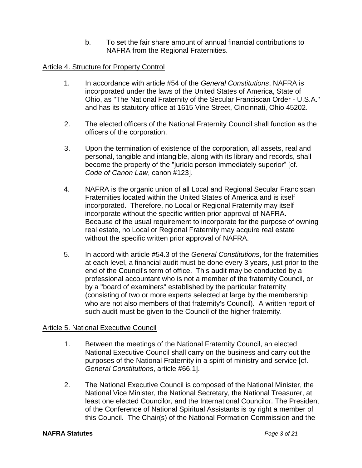b. To set the fair share amount of annual financial contributions to NAFRA from the Regional Fraternities.

# Article 4. Structure for Property Control

- 1. In accordance with article #54 of the *General Constitutions*, NAFRA is incorporated under the laws of the United States of America, State of Ohio, as "The National Fraternity of the Secular Franciscan Order - U.S.A." and has its statutory office at 1615 Vine Street, Cincinnati, Ohio 45202.
- 2. The elected officers of the National Fraternity Council shall function as the officers of the corporation.
- 3. Upon the termination of existence of the corporation, all assets, real and personal, tangible and intangible, along with its library and records, shall become the property of the "juridic person immediately superior" [cf. *Code of Canon Law*, canon #123].
- 4. NAFRA is the organic union of all Local and Regional Secular Franciscan Fraternities located within the United States of America and is itself incorporated. Therefore, no Local or Regional Fraternity may itself incorporate without the specific written prior approval of NAFRA. Because of the usual requirement to incorporate for the purpose of owning real estate, no Local or Regional Fraternity may acquire real estate without the specific written prior approval of NAFRA.
- 5. In accord with article #54.3 of the *General Constitutions*, for the fraternities at each level, a financial audit must be done every 3 years, just prior to the end of the Council's term of office. This audit may be conducted by a professional accountant who is not a member of the fraternity Council, or by a "board of examiners" established by the particular fraternity (consisting of two or more experts selected at large by the membership who are not also members of that fraternity's Council). A written report of such audit must be given to the Council of the higher fraternity.

## Article 5. National Executive Council

- 1. Between the meetings of the National Fraternity Council, an elected National Executive Council shall carry on the business and carry out the purposes of the National Fraternity in a spirit of ministry and service [cf. *General Constitutions*, article #66.1].
- 2. The National Executive Council is composed of the National Minister, the National Vice Minister, the National Secretary, the National Treasurer, at least one elected Councilor, and the International Councilor. The President of the Conference of National Spiritual Assistants is by right a member of this Council. The Chair(s) of the National Formation Commission and the

#### **NAFRA Statutes** *Page 3 of 21*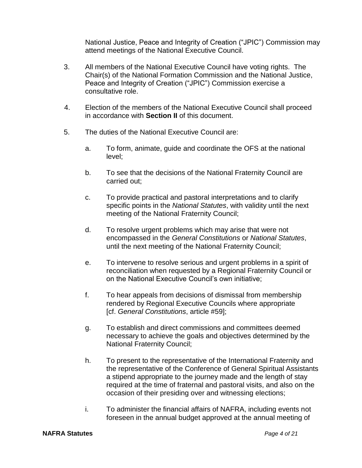National Justice, Peace and Integrity of Creation ("JPIC") Commission may attend meetings of the National Executive Council.

- 3. All members of the National Executive Council have voting rights. The Chair(s) of the National Formation Commission and the National Justice, Peace and Integrity of Creation ("JPIC") Commission exercise a consultative role.
- 4. Election of the members of the National Executive Council shall proceed in accordance with **Section II** of this document.
- 5. The duties of the National Executive Council are:
	- a. To form, animate, guide and coordinate the OFS at the national level;
	- b. To see that the decisions of the National Fraternity Council are carried out;
	- c. To provide practical and pastoral interpretations and to clarify specific points in the *National Statutes*, with validity until the next meeting of the National Fraternity Council;
	- d. To resolve urgent problems which may arise that were not encompassed in the *General Constitutions* or *National Statutes*, until the next meeting of the National Fraternity Council;
	- e. To intervene to resolve serious and urgent problems in a spirit of reconciliation when requested by a Regional Fraternity Council or on the National Executive Council's own initiative;
	- f. To hear appeals from decisions of dismissal from membership rendered by Regional Executive Councils where appropriate [cf. *General Constitutions*, article #59];
	- g. To establish and direct commissions and committees deemed necessary to achieve the goals and objectives determined by the National Fraternity Council;
	- h. To present to the representative of the International Fraternity and the representative of the Conference of General Spiritual Assistants a stipend appropriate to the journey made and the length of stay required at the time of fraternal and pastoral visits, and also on the occasion of their presiding over and witnessing elections;
	- i. To administer the financial affairs of NAFRA, including events not foreseen in the annual budget approved at the annual meeting of

### **NAFRA Statutes** *Page 4 of 21*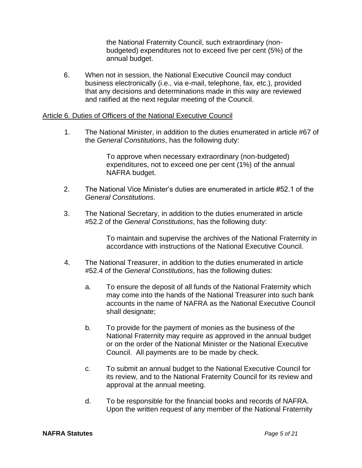the National Fraternity Council, such extraordinary (nonbudgeted) expenditures not to exceed five per cent (5%) of the annual budget.

6. When not in session, the National Executive Council may conduct business electronically (i.e., via e-mail, telephone, fax, etc.), provided that any decisions and determinations made in this way are reviewed and ratified at the next regular meeting of the Council.

### Article 6. Duties of Officers of the National Executive Council

 1. The National Minister, in addition to the duties enumerated in article #67 of the *General Constitutions*, has the following duty:

> To approve when necessary extraordinary (non-budgeted) expenditures, not to exceed one per cent (1%) of the annual NAFRA budget.

- 2. The National Vice Minister's duties are enumerated in article #52.1 of the *General Constitutions*.
- 3. The National Secretary, in addition to the duties enumerated in article #52.2 of the *General Constitutions*, has the following duty:

To maintain and supervise the archives of the National Fraternity in accordance with instructions of the National Executive Council.

- 4. The National Treasurer, in addition to the duties enumerated in article #52.4 of the *General Constitutions*, has the following duties:
	- a. To ensure the deposit of all funds of the National Fraternity which may come into the hands of the National Treasurer into such bank accounts in the name of NAFRA as the National Executive Council shall designate;
	- b. To provide for the payment of monies as the business of the National Fraternity may require as approved in the annual budget or on the order of the National Minister or the National Executive Council. All payments are to be made by check.
	- c. To submit an annual budget to the National Executive Council for its review, and to the National Fraternity Council for its review and approval at the annual meeting.
	- d. To be responsible for the financial books and records of NAFRA. Upon the written request of any member of the National Fraternity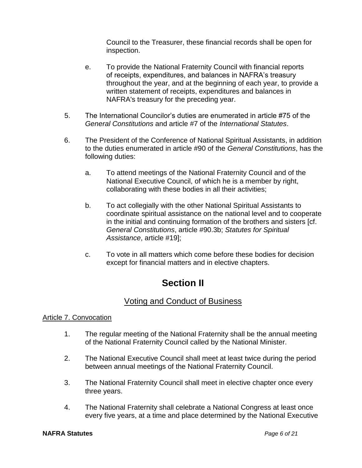Council to the Treasurer, these financial records shall be open for inspection.

- e. To provide the National Fraternity Council with financial reports of receipts, expenditures, and balances in NAFRA's treasury throughout the year, and at the beginning of each year, to provide a written statement of receipts, expenditures and balances in NAFRA's treasury for the preceding year.
- 5. The International Councilor's duties are enumerated in article #75 of the *General Constitutions* and article #7 of the *International Statutes*.
- 6. The President of the Conference of National Spiritual Assistants, in addition to the duties enumerated in article #90 of the *General Constitutions*, has the following duties:
	- a. To attend meetings of the National Fraternity Council and of the National Executive Council, of which he is a member by right, collaborating with these bodies in all their activities;
	- b. To act collegially with the other National Spiritual Assistants to coordinate spiritual assistance on the national level and to cooperate in the initial and continuing formation of the brothers and sisters [cf. *General Constitutions*, article #90.3b; *Statutes for Spiritual Assistance*, article #19];
	- c. To vote in all matters which come before these bodies for decision except for financial matters and in elective chapters.

# **Section II**

# Voting and Conduct of Business

## Article 7. Convocation

- 1. The regular meeting of the National Fraternity shall be the annual meeting of the National Fraternity Council called by the National Minister.
- 2. The National Executive Council shall meet at least twice during the period between annual meetings of the National Fraternity Council.
- 3. The National Fraternity Council shall meet in elective chapter once every three years.
- 4. The National Fraternity shall celebrate a National Congress at least once every five years, at a time and place determined by the National Executive

### **NAFRA Statutes** *Page 6 of 21*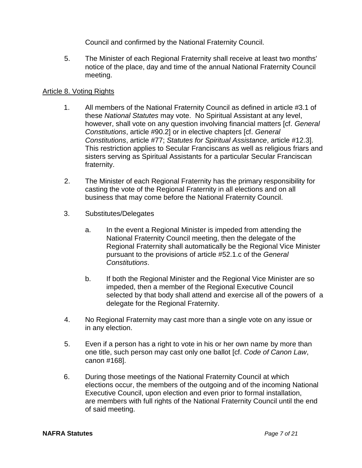Council and confirmed by the National Fraternity Council.

 5. The Minister of each Regional Fraternity shall receive at least two months' notice of the place, day and time of the annual National Fraternity Council meeting.

### Article 8. Voting Rights

- 1. All members of the National Fraternity Council as defined in article #3.1 of these *National Statutes* may vote. No Spiritual Assistant at any level, however, shall vote on any question involving financial matters [cf. *General Constitutions*, article #90.2] or in elective chapters [cf. *General Constitutions*, article #77; *Statutes for Spiritual Assistance*, article #12.3]. This restriction applies to Secular Franciscans as well as religious friars and sisters serving as Spiritual Assistants for a particular Secular Franciscan fraternity.
- 2. The Minister of each Regional Fraternity has the primary responsibility for casting the vote of the Regional Fraternity in all elections and on all business that may come before the National Fraternity Council.
- 3. Substitutes/Delegates
	- a. In the event a Regional Minister is impeded from attending the National Fraternity Council meeting, then the delegate of the Regional Fraternity shall automatically be the Regional Vice Minister pursuant to the provisions of article #52.1.c of the *General Constitutions*.
	- b. If both the Regional Minister and the Regional Vice Minister are so impeded, then a member of the Regional Executive Council selected by that body shall attend and exercise all of the powers of a delegate for the Regional Fraternity.
- 4. No Regional Fraternity may cast more than a single vote on any issue or in any election.
- 5. Even if a person has a right to vote in his or her own name by more than one title, such person may cast only one ballot [cf. *Code of Canon Law*, canon #168].
- 6. During those meetings of the National Fraternity Council at which elections occur, the members of the outgoing and of the incoming National Executive Council, upon election and even prior to formal installation, are members with full rights of the National Fraternity Council until the end of said meeting.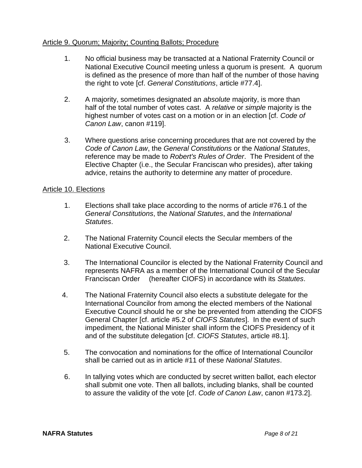### Article 9. Quorum; Majority; Counting Ballots; Procedure

- 1. No official business may be transacted at a National Fraternity Council or National Executive Council meeting unless a quorum is present. A quorum is defined as the presence of more than half of the number of those having the right to vote [cf. *General Constitutions*, article #77.4].
- 2. A majority, sometimes designated an *absolute* majority, is more than half of the total number of votes cast. A *relative* or *simple* majority is the highest number of votes cast on a motion or in an election [cf. *Code of Canon Law*, canon #119].
- 3. Where questions arise concerning procedures that are not covered by the *Code of Canon Law*, the *General Constitutions* or the *National Statutes*, reference may be made to *Robert's Rules of Order*. The President of the Elective Chapter (i.e., the Secular Franciscan who presides), after taking advice, retains the authority to determine any matter of procedure.

### Article 10. Elections

- 1. Elections shall take place according to the norms of article #76.1 of the *General Constitutions*, the *National Statutes*, and the *International Statutes*.
- 2. The National Fraternity Council elects the Secular members of the National Executive Council.
- 3. The International Councilor is elected by the National Fraternity Council and represents NAFRA as a member of the International Council of the Secular Franciscan Order (hereafter CIOFS) in accordance with its *Statutes*.
- 4. The National Fraternity Council also elects a substitute delegate for the International Councilor from among the elected members of the National Executive Council should he or she be prevented from attending the CIOFS General Chapter [cf. article #5.2 of *CIOFS Statutes*]. In the event of such impediment, the National Minister shall inform the CIOFS Presidency of it and of the substitute delegation [cf. *CIOFS Statutes*, article #8.1].
- 5. The convocation and nominations for the office of International Councilor shall be carried out as in article #11 of these *National Statutes*.
- 6. In tallying votes which are conducted by secret written ballot, each elector shall submit one vote. Then all ballots, including blanks, shall be counted to assure the validity of the vote [cf. *Code of Canon Law*, canon #173.2].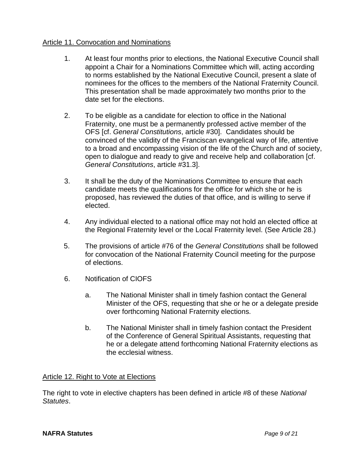## Article 11. Convocation and Nominations

- 1. At least four months prior to elections, the National Executive Council shall appoint a Chair for a Nominations Committee which will, acting according to norms established by the National Executive Council, present a slate of nominees for the offices to the members of the National Fraternity Council. This presentation shall be made approximately two months prior to the date set for the elections.
- 2. To be eligible as a candidate for election to office in the National Fraternity, one must be a permanently professed active member of the OFS [cf. *General Constitutions*, article #30]. Candidates should be convinced of the validity of the Franciscan evangelical way of life, attentive to a broad and encompassing vision of the life of the Church and of society, open to dialogue and ready to give and receive help and collaboration [cf. *General Constitutions*, article #31.3].
- 3. It shall be the duty of the Nominations Committee to ensure that each candidate meets the qualifications for the office for which she or he is proposed, has reviewed the duties of that office, and is willing to serve if elected.
- 4. Any individual elected to a national office may not hold an elected office at the Regional Fraternity level or the Local Fraternity level. (See Article 28.)
- 5. The provisions of article #76 of the *General Constitutions* shall be followed for convocation of the National Fraternity Council meeting for the purpose of elections.
- 6. Notification of CIOFS
	- a. The National Minister shall in timely fashion contact the General Minister of the OFS, requesting that she or he or a delegate preside over forthcoming National Fraternity elections.
	- b. The National Minister shall in timely fashion contact the President of the Conference of General Spiritual Assistants, requesting that he or a delegate attend forthcoming National Fraternity elections as the ecclesial witness.

## Article 12. Right to Vote at Elections

The right to vote in elective chapters has been defined in article #8 of these *National Statutes*.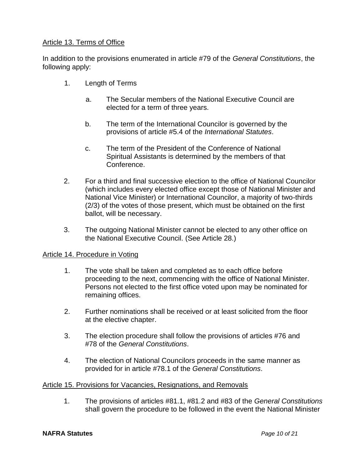## Article 13. Terms of Office

In addition to the provisions enumerated in article #79 of the *General Constitutions*, the following apply:

- 1. Length of Terms
	- a. The Secular members of the National Executive Council are elected for a term of three years.
	- b. The term of the International Councilor is governed by the provisions of article #5.4 of the *International Statutes*.
	- c. The term of the President of the Conference of National Spiritual Assistants is determined by the members of that Conference.
- 2. For a third and final successive election to the office of National Councilor (which includes every elected office except those of National Minister and National Vice Minister) or International Councilor, a majority of two-thirds (2/3) of the votes of those present, which must be obtained on the first ballot, will be necessary.
- 3. The outgoing National Minister cannot be elected to any other office on the National Executive Council. (See Article 28.)

## Article 14. Procedure in Voting

- 1. The vote shall be taken and completed as to each office before proceeding to the next, commencing with the office of National Minister. Persons not elected to the first office voted upon may be nominated for remaining offices.
- 2. Further nominations shall be received or at least solicited from the floor at the elective chapter.
- 3. The election procedure shall follow the provisions of articles #76 and #78 of the *General Constitutions*.
- 4. The election of National Councilors proceeds in the same manner as provided for in article #78.1 of the *General Constitutions*.

## Article 15. Provisions for Vacancies, Resignations, and Removals

1. The provisions of articles #81.1, #81.2 and #83 of the *General Constitutions* shall govern the procedure to be followed in the event the National Minister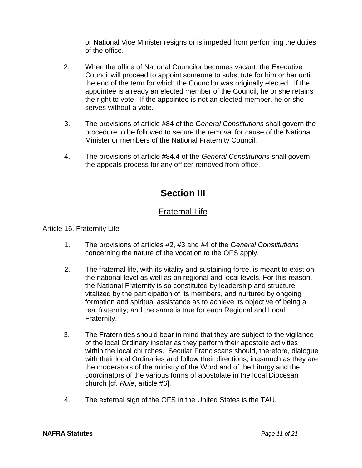or National Vice Minister resigns or is impeded from performing the duties of the office.

- 2. When the office of National Councilor becomes vacant, the Executive Council will proceed to appoint someone to substitute for him or her until the end of the term for which the Councilor was originally elected. If the appointee is already an elected member of the Council, he or she retains the right to vote. If the appointee is not an elected member, he or she serves without a vote.
- 3. The provisions of article #84 of the *General Constitutions* shall govern the procedure to be followed to secure the removal for cause of the National Minister or members of the National Fraternity Council.
- 4. The provisions of article #84.4 of the *General Constitutions* shall govern the appeals process for any officer removed from office.

# **Section III**

# Fraternal Life

# Article 16. Fraternity Life

- 1. The provisions of articles #2, #3 and #4 of the *General Constitutions* concerning the nature of the vocation to the OFS apply.
- 2. The fraternal life, with its vitality and sustaining force, is meant to exist on the national level as well as on regional and local levels. For this reason, the National Fraternity is so constituted by leadership and structure, vitalized by the participation of its members, and nurtured by ongoing formation and spiritual assistance as to achieve its objective of being a real fraternity; and the same is true for each Regional and Local Fraternity.
- 3. The Fraternities should bear in mind that they are subject to the vigilance of the local Ordinary insofar as they perform their apostolic activities within the local churches. Secular Franciscans should, therefore, dialogue with their local Ordinaries and follow their directions, inasmuch as they are the moderators of the ministry of the Word and of the Liturgy and the coordinators of the various forms of apostolate in the local Diocesan church [cf. *Rule*, article #6].
- 4. The external sign of the OFS in the United States is the TAU.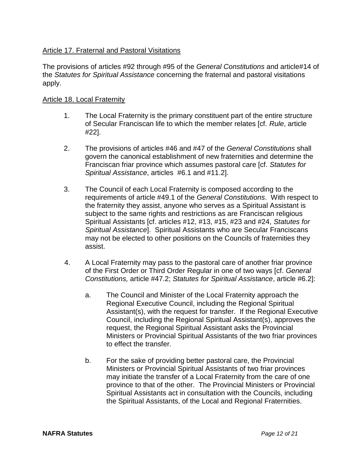# Article 17. Fraternal and Pastoral Visitations

The provisions of articles #92 through #95 of the *General Constitutions* and article#14 of the *Statutes for Spiritual Assistance* concerning the fraternal and pastoral visitations apply.

### Article 18. Local Fraternity

- 1. The Local Fraternity is the primary constituent part of the entire structure of Secular Franciscan life to which the member relates [cf. *Rule*, article #22].
- 2. The provisions of articles #46 and #47 of the *General Constitutions* shall govern the canonical establishment of new fraternities and determine the Franciscan friar province which assumes pastoral care [cf. *Statutes for Spiritual Assistance*, articles #6.1 and #11.2].
- 3. The Council of each Local Fraternity is composed according to the requirements of article #49.1 of the *General Constitutions*.With respect to the fraternity they assist, anyone who serves as a Spiritual Assistant is subject to the same rights and restrictions as are Franciscan religious Spiritual Assistants [cf. articles #12, #13, #15, #23 and #24, *Statutes for Spiritual Assistance*]. Spiritual Assistants who are Secular Franciscans may not be elected to other positions on the Councils of fraternities they assist.
- 4. A Local Fraternity may pass to the pastoral care of another friar province of the First Order or Third Order Regular in one of two ways [cf. *General Constitutions,* article #47.2; *Statutes for Spiritual Assistance*, article #6.2]:
	- a. The Council and Minister of the Local Fraternity approach the Regional Executive Council, including the Regional Spiritual Assistant(s), with the request for transfer. If the Regional Executive Council, including the Regional Spiritual Assistant(s), approves the request, the Regional Spiritual Assistant asks the Provincial Ministers or Provincial Spiritual Assistants of the two friar provinces to effect the transfer.
	- b. For the sake of providing better pastoral care, the Provincial Ministers or Provincial Spiritual Assistants of two friar provinces may initiate the transfer of a Local Fraternity from the care of one province to that of the other. The Provincial Ministers or Provincial Spiritual Assistants act in consultation with the Councils, including the Spiritual Assistants, of the Local and Regional Fraternities.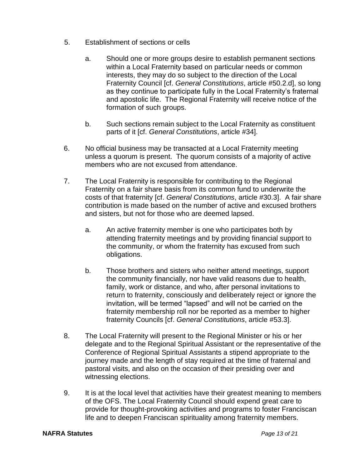- 5. Establishment of sections or cells
	- a. Should one or more groups desire to establish permanent sections within a Local Fraternity based on particular needs or common interests, they may do so subject to the direction of the Local Fraternity Council [cf. *General Constitutions*, article #50.2.d], so long as they continue to participate fully in the Local Fraternity's fraternal and apostolic life. The Regional Fraternity will receive notice of the formation of such groups.
	- b. Such sections remain subject to the Local Fraternity as constituent parts of it [cf. *General Constitutions*, article #34].
- 6. No official business may be transacted at a Local Fraternity meeting unless a quorum is present. The quorum consists of a majority of active members who are not excused from attendance.
- 7. The Local Fraternity is responsible for contributing to the Regional Fraternity on a fair share basis from its common fund to underwrite the costs of that fraternity [cf. *General Constitutions*, article #30.3]. A fair share contribution is made based on the number of active and excused brothers and sisters, but not for those who are deemed lapsed.
	- a. An active fraternity member is one who participates both by attending fraternity meetings and by providing financial support to the community, or whom the fraternity has excused from such obligations.
	- b. Those brothers and sisters who neither attend meetings, support the community financially, nor have valid reasons due to health, family, work or distance, and who, after personal invitations to return to fraternity, consciously and deliberately reject or ignore the invitation, will be termed "lapsed" and will not be carried on the fraternity membership roll nor be reported as a member to higher fraternity Councils [cf. *General Constitutions*, article #53.3].
- 8. The Local Fraternity will present to the Regional Minister or his or her delegate and to the Regional Spiritual Assistant or the representative of the Conference of Regional Spiritual Assistants a stipend appropriate to the journey made and the length of stay required at the time of fraternal and pastoral visits, and also on the occasion of their presiding over and witnessing elections.
- 9. It is at the local level that activities have their greatest meaning to members of the OFS. The Local Fraternity Council should expend great care to provide for thought-provoking activities and programs to foster Franciscan life and to deepen Franciscan spirituality among fraternity members.

### **NAFRA Statutes** *Page 13 of 21*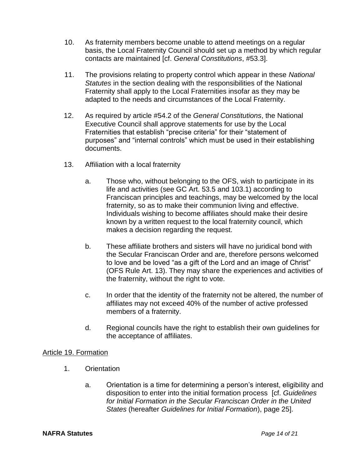- 10. As fraternity members become unable to attend meetings on a regular basis, the Local Fraternity Council should set up a method by which regular contacts are maintained [cf. *General Constitutions*, #53.3].
- 11. The provisions relating to property control which appear in these *National Statutes* in the section dealing with the responsibilities of the National Fraternity shall apply to the Local Fraternities insofar as they may be adapted to the needs and circumstances of the Local Fraternity.
- 12. As required by article #54.2 of the *General Constitutions*, the National Executive Council shall approve statements for use by the Local Fraternities that establish "precise criteria" for their "statement of purposes" and "internal controls" which must be used in their establishing documents.
- 13. Affiliation with a local fraternity
	- a. Those who, without belonging to the OFS, wish to participate in its life and activities (see GC Art. 53.5 and 103.1) according to Franciscan principles and teachings, may be welcomed by the local fraternity, so as to make their communion living and effective. Individuals wishing to become affiliates should make their desire known by a written request to the local fraternity council, which makes a decision regarding the request.
	- b. These affiliate brothers and sisters will have no juridical bond with the Secular Franciscan Order and are, therefore persons welcomed to love and be loved "as a gift of the Lord and an image of Christ" (OFS Rule Art. 13). They may share the experiences and activities of the fraternity, without the right to vote.
	- c. In order that the identity of the fraternity not be altered, the number of affiliates may not exceed 40% of the number of active professed members of a fraternity.
	- d. Regional councils have the right to establish their own guidelines for the acceptance of affiliates.

## Article 19. Formation

- 1. Orientation
	- a. Orientation is a time for determining a person's interest, eligibility and disposition to enter into the initial formation process [cf. *Guidelines for Initial Formation in the Secular Franciscan Order in the United States* (hereafter *Guidelines for Initial Formation*), page 25].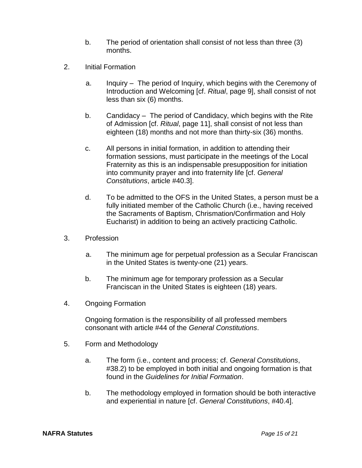- b. The period of orientation shall consist of not less than three (3) months.
- 2. Initial Formation
	- a. Inquiry The period of Inquiry, which begins with the Ceremony of Introduction and Welcoming [cf. *Ritual*, page 9], shall consist of not less than six (6) months.
	- b. Candidacy The period of Candidacy, which begins with the Rite of Admission [cf. *Ritual*, page 11], shall consist of not less than eighteen (18) months and not more than thirty-six (36) months.
	- c. All persons in initial formation, in addition to attending their formation sessions, must participate in the meetings of the Local Fraternity as this is an indispensable presupposition for initiation into community prayer and into fraternity life [cf. *General Constitutions*, article #40.3].
	- d. To be admitted to the OFS in the United States, a person must be a fully initiated member of the Catholic Church (i.e., having received the Sacraments of Baptism, Chrismation/Confirmation and Holy Eucharist) in addition to being an actively practicing Catholic.
- 3. Profession
	- a. The minimum age for perpetual profession as a Secular Franciscan in the United States is twenty-one (21) years.
	- b. The minimum age for temporary profession as a Secular Franciscan in the United States is eighteen (18) years.
- 4. Ongoing Formation

Ongoing formation is the responsibility of all professed members consonant with article #44 of the *General Constitutions*.

- 5. Form and Methodology
	- a. The form (i.e., content and process; cf. *General Constitutions*, #38.2) to be employed in both initial and ongoing formation is that found in the *Guidelines for Initial Formation*.
	- b. The methodology employed in formation should be both interactive and experiential in nature [cf. *General Constitutions*, #40.4].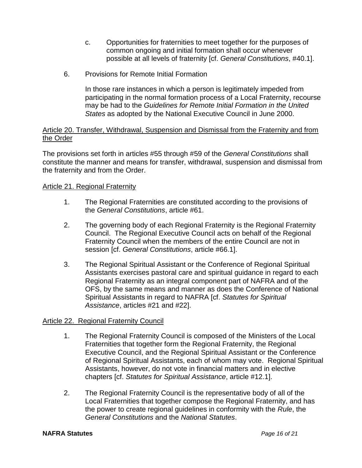- c. Opportunities for fraternities to meet together for the purposes of common ongoing and initial formation shall occur whenever possible at all levels of fraternity [cf. *General Constitutions*, #40.1].
- 6. Provisions for Remote Initial Formation

In those rare instances in which a person is legitimately impeded from participating in the normal formation process of a Local Fraternity, recourse may be had to the *Guidelines for Remote Initial Formation in the United States* as adopted by the National Executive Council in June 2000.

### Article 20. Transfer, Withdrawal, Suspension and Dismissal from the Fraternity and from the Order

The provisions set forth in articles #55 through #59 of the *General Constitutions* shall constitute the manner and means for transfer, withdrawal, suspension and dismissal from the fraternity and from the Order.

## Article 21. Regional Fraternity

- 1. The Regional Fraternities are constituted according to the provisions of the *General Constitutions*, article #61.
- 2. The governing body of each Regional Fraternity is the Regional Fraternity Council. The Regional Executive Council acts on behalf of the Regional Fraternity Council when the members of the entire Council are not in session [cf. *General Constitutions*, article #66.1].
- 3. The Regional Spiritual Assistant or the Conference of Regional Spiritual Assistants exercises pastoral care and spiritual guidance in regard to each Regional Fraternity as an integral component part of NAFRA and of the OFS, by the same means and manner as does the Conference of National Spiritual Assistants in regard to NAFRA [cf. *Statutes for Spiritual Assistance*, articles #21 and #22].

## Article 22. Regional Fraternity Council

- 1. The Regional Fraternity Council is composed of the Ministers of the Local Fraternities that together form the Regional Fraternity, the Regional Executive Council, and the Regional Spiritual Assistant or the Conference of Regional Spiritual Assistants, each of whom may vote. Regional Spiritual Assistants, however, do not vote in financial matters and in elective chapters [cf. *Statutes for Spiritual Assistance*, article #12.1].
- 2. The Regional Fraternity Council is the representative body of all of the Local Fraternities that together compose the Regional Fraternity, and has the power to create regional guidelines in conformity with the *Rule*, the *General Constitutions* and the *National Statutes*.

#### **NAFRA Statutes** *Page 16 of 21*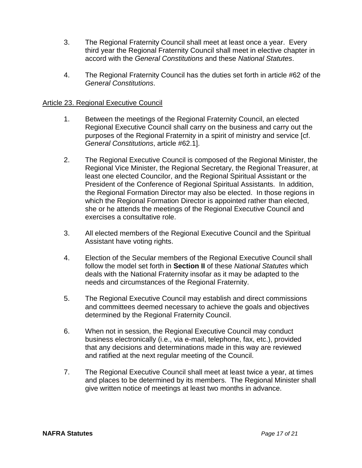- 3. The Regional Fraternity Council shall meet at least once a year. Every third year the Regional Fraternity Council shall meet in elective chapter in accord with the *General Constitutions* and these *National Statutes*.
- 4. The Regional Fraternity Council has the duties set forth in article #62 of the *General Constitutions*.

### Article 23. Regional Executive Council

- 1. Between the meetings of the Regional Fraternity Council, an elected Regional Executive Council shall carry on the business and carry out the purposes of the Regional Fraternity in a spirit of ministry and service [cf. *General Constitutions*, article #62.1].
- 2. The Regional Executive Council is composed of the Regional Minister, the Regional Vice Minister, the Regional Secretary, the Regional Treasurer, at least one elected Councilor, and the Regional Spiritual Assistant or the President of the Conference of Regional Spiritual Assistants. In addition, the Regional Formation Director may also be elected. In those regions in which the Regional Formation Director is appointed rather than elected, she or he attends the meetings of the Regional Executive Council and exercises a consultative role.
- 3. All elected members of the Regional Executive Council and the Spiritual Assistant have voting rights.
- 4. Election of the Secular members of the Regional Executive Council shall follow the model set forth in **Section II** of these *National Statutes* which deals with the National Fraternity insofar as it may be adapted to the needs and circumstances of the Regional Fraternity.
- 5. The Regional Executive Council may establish and direct commissions and committees deemed necessary to achieve the goals and objectives determined by the Regional Fraternity Council.
- 6. When not in session, the Regional Executive Council may conduct business electronically (i.e., via e-mail, telephone, fax, etc.), provided that any decisions and determinations made in this way are reviewed and ratified at the next regular meeting of the Council.
- 7. The Regional Executive Council shall meet at least twice a year, at times and places to be determined by its members. The Regional Minister shall give written notice of meetings at least two months in advance.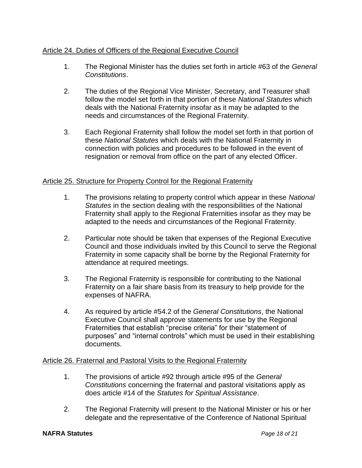# Article 24. Duties of Officers of the Regional Executive Council

- 1. The Regional Minister has the duties set forth in article #63 of the *General Constitutions*.
- 2. The duties of the Regional Vice Minister, Secretary, and Treasurer shall follow the model set forth in that portion of these *National Statutes* which deals with the National Fraternity insofar as it may be adapted to the needs and circumstances of the Regional Fraternity.
- 3. Each Regional Fraternity shall follow the model set forth in that portion of these *National Statutes* which deals with the National Fraternity in connection with policies and procedures to be followed in the event of resignation or removal from office on the part of any elected Officer.

## Article 25. Structure for Property Control for the Regional Fraternity

- 1. The provisions relating to property control which appear in these *National Statutes* in the section dealing with the responsibilities of the National Fraternity shall apply to the Regional Fraternities insofar as they may be adapted to the needs and circumstances of the Regional Fraternity.
- 2. Particular note should be taken that expenses of the Regional Executive Council and those individuals invited by this Council to serve the Regional Fraternity in some capacity shall be borne by the Regional Fraternity for attendance at required meetings.
- 3. The Regional Fraternity is responsible for contributing to the National Fraternity on a fair share basis from its treasury to help provide for the expenses of NAFRA.
- 4. As required by article #54.2 of the *General Constitutions*, the National Executive Council shall approve statements for use by the Regional Fraternities that establish "precise criteria" for their "statement of purposes" and "internal controls" which must be used in their establishing documents.

## Article 26. Fraternal and Pastoral Visits to the Regional Fraternity

- 1. The provisions of article #92 through article #95 of the *General Constitutions* concerning the fraternal and pastoral visitations apply as does article #14 of the *Statutes for Spiritual Assistance*.
- 2. The Regional Fraternity will present to the National Minister or his or her delegate and the representative of the Conference of National Spiritual

#### **NAFRA Statutes** *Page 18 of 21*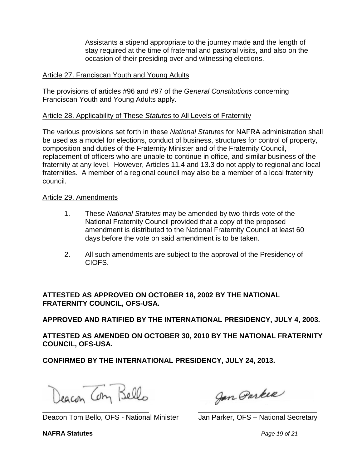Assistants a stipend appropriate to the journey made and the length of stay required at the time of fraternal and pastoral visits, and also on the occasion of their presiding over and witnessing elections.

### Article 27. Franciscan Youth and Young Adults

The provisions of articles #96 and #97 of the *General Constitutions* concerning Franciscan Youth and Young Adults apply.

### Article 28. Applicability of These *Statutes* to All Levels of Fraternity

The various provisions set forth in these *National Statutes* for NAFRA administration shall be used as a model for elections, conduct of business, structures for control of property, composition and duties of the Fraternity Minister and of the Fraternity Council, replacement of officers who are unable to continue in office, and similar business of the fraternity at any level. However, Articles 11.4 and 13.3 do not apply to regional and local fraternities. A member of a regional council may also be a member of a local fraternity council.

### Article 29. Amendments

- 1. These *National Statutes* may be amended by two-thirds vote of the National Fraternity Council provided that a copy of the proposed amendment is distributed to the National Fraternity Council at least 60 days before the vote on said amendment is to be taken.
- 2. All such amendments are subject to the approval of the Presidency of CIOFS.

**ATTESTED AS APPROVED ON OCTOBER 18, 2002 BY THE NATIONAL FRATERNITY COUNCIL, OFS-USA.**

**APPROVED AND RATIFIED BY THE INTERNATIONAL PRESIDENCY, JULY 4, 2003.**

**ATTESTED AS AMENDED ON OCTOBER 30, 2010 BY THE NATIONAL FRATERNITY COUNCIL, OFS-USA.**

**CONFIRMED BY THE INTERNATIONAL PRESIDENCY, JULY 24, 2013.**

Deacon Com Bello

Deacon Tom Bello, OFS - National Minister Jan Parker, OFS - National Secretary

Jan Parker \_\_\_\_\_\_\_\_\_\_\_\_\_\_\_\_\_\_\_\_\_\_\_\_\_\_\_ \_\_\_\_\_\_\_\_\_\_\_\_\_\_\_\_\_\_\_\_\_\_\_\_\_\_\_\_\_\_

**NAFRA Statutes** *Page 19 of 21*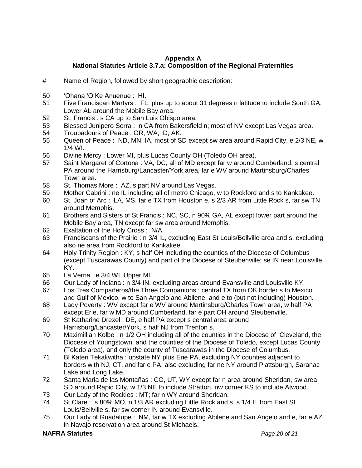### **Appendix A National Statutes Article 3.7.a: Composition of the Regional Fraternities**

- # Name of Region, followed by short geographic description:
- 50 'Ohana 'O Ke Anuenue : HI.
- 51 Five Franciscan Martyrs : FL, plus up to about 31 degrees n latitude to include South GA, Lower AL around the Mobile Bay area.
- 52 St. Francis : s CA up to San Luis Obispo area.
- 53 Blessed Junipero Serra : n CA from Bakersfield n; most of NV except Las Vegas area.
- 54 Troubadours of Peace : OR, WA, ID, AK.
- 55 Queen of Peace : ND, MN, IA, most of SD except sw area around Rapid City, e 2/3 NE, w 1/4 WI.
- 56 Divine Mercy : Lower MI, plus Lucas County OH (Toledo OH area).
- 57 Saint Margaret of Cortona : VA, DC, all of MD except far w around Cumberland, s central PA around the Harrisburg/Lancaster/York area, far e WV around Martinsburg/Charles Town area.
- 58 St. Thomas More : AZ, s part NV around Las Vegas.
- 59 Mother Cabrini : ne IL including all of metro Chicago, w to Rockford and s to Kankakee.
- 60 St. Joan of Arc : LA, MS, far e TX from Houston e, s 2/3 AR from Little Rock s, far sw TN around Memphis.
- 61 Brothers and Sisters of St Francis : NC, SC, n 90% GA, AL except lower part around the Mobile Bay area, TN except far sw area around Memphis.
- 62 Exaltation of the Holy Cross : N/A.
- 63 Franciscans of the Prairie : n 3/4 IL, excluding East St Louis/Bellville area and s, excluding also ne area from Rockford to Kankakee.
- 64 Holy Trinity Region : KY, s half OH including the counties of the Diocese of Columbus (except Tuscarawas County) and part of the Diocese of Steubenville; se IN near Louisville KY.
- 65 La Verna : e 3/4 WI, Upper MI.
- 66 Our Lady of Indiana : n 3/4 IN, excluding areas around Evansville and Louisville KY.
- 67 Los Tres Compañeros/the Three Companions : central TX from OK border s to Mexico and Gulf of Mexico, w to San Angelo and Abilene, and e to (but not including) Houston.
- 68 Lady Poverty : WV except far e WV around Martinsburg/Charles Town area, w half PA except Erie, far w MD around Cumberland, far e part OH around Steubenville.
- 69 St Katharine Drexel : DE, e half PA except s central area around Harrisburg/Lancaster/York, s half NJ from Trenton s.
- 70 Maximillian Kolbe : n 1/2 OH including all of the counties in the Diocese of Cleveland, the Diocese of Youngstown, and the counties of the Diocese of Toledo, except Lucas County (Toledo area), and only the county of Tuscarawas in the Diocese of Columbus.
- 71 Bl Kateri Tekakwitha : upstate NY plus Erie PA, excluding NY counties adjacent to borders with NJ, CT, and far e PA, also excluding far ne NY around Plattsburgh, Saranac Lake and Long Lake.
- 72 Santa Maria de las Montañas : CO, UT, WY except far n area around Sheridan, sw area SD around Rapid City, w 1/3 NE to include Stratton, nw corner KS to include Atwood.
- 73 Our Lady of the Rockies : MT; far n WY around Sheridan.
- 74 St Clare : s 80% MO, n 1/3 AR excluding Little Rock and s, s 1/4 IL from East St Louis/Bellville s, far sw corner IN around Evansville.
- 75 Our Lady of Guadalupe : NM, far w TX excluding Abilene and San Angelo and e, far e AZ in Navajo reservation area around St Michaels.

#### **NAFRA Statutes** *Page 20 of 21*